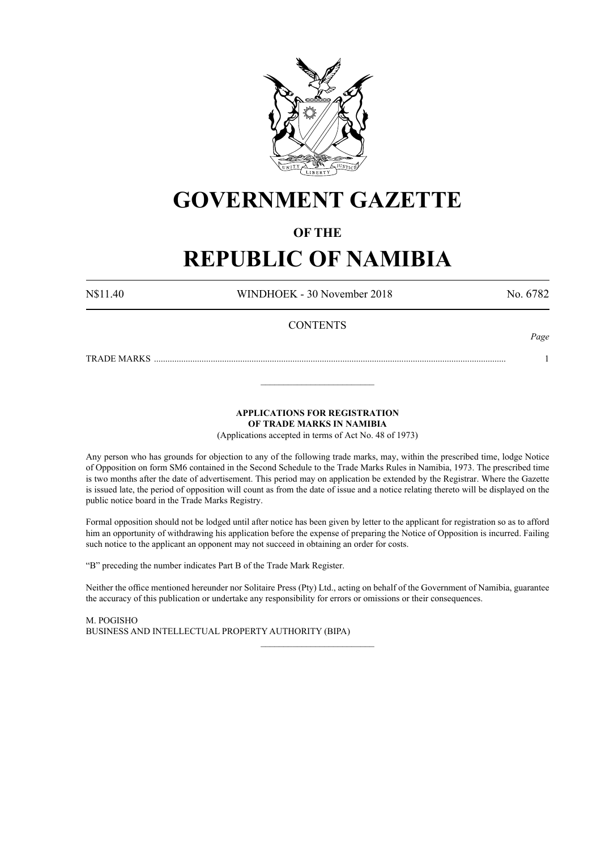

# **GOVERNMENT GAZETTE**

### **OF THE**

# **REPUBLIC OF NAMIBIA**

N\$11.40 WINDHOEK - 30 November 2018 No. 6782

*Page*

### **CONTENTS**

TRADE MARKS ........................................................................................................................................................... 1

#### **APPLICATIONS FOR REGISTRATION OF TRADE MARKS IN NAMIBIA**

\_\_\_\_\_\_\_\_\_\_\_\_\_\_\_\_\_\_\_\_\_\_\_\_\_

(Applications accepted in terms of Act No. 48 of 1973)

Any person who has grounds for objection to any of the following trade marks, may, within the prescribed time, lodge Notice of Opposition on form SM6 contained in the Second Schedule to the Trade Marks Rules in Namibia, 1973. The prescribed time is two months after the date of advertisement. This period may on application be extended by the Registrar. Where the Gazette is issued late, the period of opposition will count as from the date of issue and a notice relating thereto will be displayed on the public notice board in the Trade Marks Registry.

Formal opposition should not be lodged until after notice has been given by letter to the applicant for registration so as to afford him an opportunity of withdrawing his application before the expense of preparing the Notice of Opposition is incurred. Failing such notice to the applicant an opponent may not succeed in obtaining an order for costs.

"B" preceding the number indicates Part B of the Trade Mark Register.

Neither the office mentioned hereunder nor Solitaire Press (Pty) Ltd., acting on behalf of the Government of Namibia, guarantee the accuracy of this publication or undertake any responsibility for errors or omissions or their consequences.

\_\_\_\_\_\_\_\_\_\_\_\_\_\_\_\_\_\_\_\_\_\_\_\_\_

M. PogIsho BUSINESS AND INTELLECTUAL PROPERTY AUTHORITY (BIPA)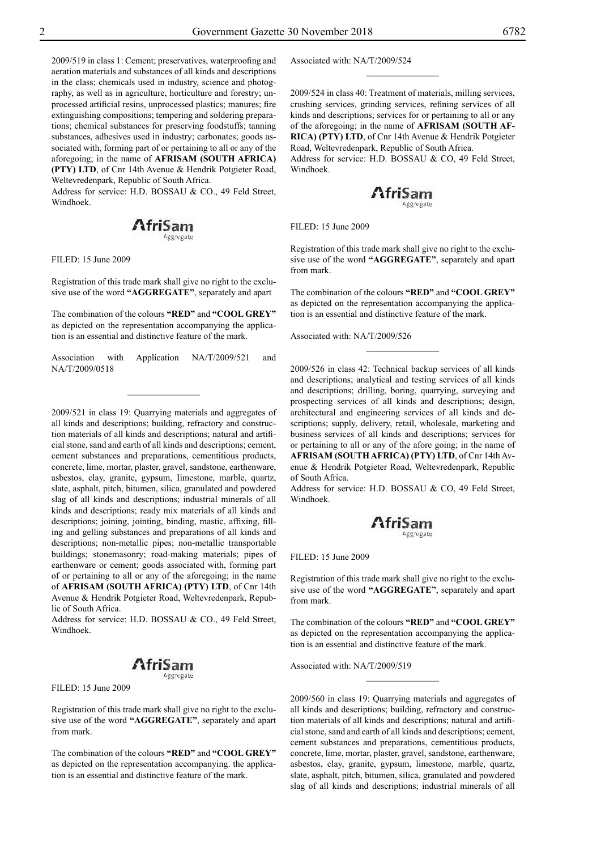2009/519 in class 1: Cement; preservatives, waterproofing and aeration materials and substances of all kinds and descriptions in the class; chemicals used in industry, science and photography, as well as in agriculture, horticulture and forestry; unprocessed artificial resins, unprocessed plastics; manures; fire extinguishing compositions; tempering and soldering preparations; chemical substances for preserving foodstuffs; tanning substances, adhesives used in industry; carbonates; goods associated with, forming part of or pertaining to all or any of the aforegoing; in the name of **AFRISAM (SOUTH AFRICA) (PTY) LTD**, of Cnr 14th Avenue & Hendrik Potgieter Road, Weltevredenpark, Republic of South Africa.

Address for service: H.D. BOSSAU & CO., 49 Feld Street, Windhoek.

## **AfriSam**

Filed: 15 June 2009

Registration of this trade mark shall give no right to the exclusive use of the word **"AGGREGATE"**, separately and apart

The combination of the colours "RED" and "COOL GREY" as depicted on the representation accompanying the application is an essential and distinctive feature of the mark.

Association with Application NA/T/2009/521 and NA/T/2009/0518

 $\frac{1}{2}$ 

2009/521 in class 19: Quarrying materials and aggregates of all kinds and descriptions; building, refractory and construction materials of all kinds and descriptions; natural and artificial stone, sand and earth of all kinds and descriptions; cement, cement substances and preparations, cementitious products, concrete, lime, mortar, plaster, gravel, sandstone, earthenware, asbestos, clay, granite, gypsum, Iimestone, marble, quartz, slate, asphalt, pitch, bitumen, silica, granulated and powdered slag of all kinds and descriptions; industrial minerals of all kinds and descriptions; ready mix materials of all kinds and descriptions; joining, jointing, binding, mastic, affixing, filling and gelling substances and preparations of all kinds and descriptions; non-metallic pipes; non-metallic transportable buildings; stonemasonry; road-making materials; pipes of earthenware or cement; goods associated with, forming part of or pertaining to all or any of the aforegoing; in the name of **AFRISAM (SOUTH AFRICA) (PTY) LTD**, of Cnr 14th Avenue & Hendrik Potgieter Road, Weltevredenpark, Republic of South Africa.

Address for service: H.D. BOSSAU & CO., 49 Feld Street, Windhoek.

#### AfriSam ecrepate

Filed: 15 June 2009

Registration of this trade mark shall give no right to the exclusive use of the word **"AGGREGATE"**, separately and apart from mark.

The combination of the colours "RED" and "COOL GREY" as depicted on the representation accompanying. the application is an essential and distinctive feature of the mark.

Associated with: NA/T/2009/524

2009/524 in class 40: Treatment of materials, milling services, crushing services, grinding services, refining services of all kinds and descriptions; services for or pertaining to all or any of the aforegoing; in the name of **AFRISAM (SOUTH AF-RICA) (PTY) LTD**, of Cnr 14th Avenue & Hendrik Potgieter Road, Weltevredenpark, Republic of South Africa.

 $\frac{1}{2}$ 

Address for service: H.D. BOSSAU & CO, 49 Feld Street, Windhoek.



Filed: 15 June 2009

Registration of this trade mark shall give no right to the exclusive use of the word **"AGGREGATE"**, separately and apart from mark.

The combination of the colours "**RED**" and "COOL GREY" as depicted on the representation accompanying the application is an essential and distinctive feature of the mark.

 $\frac{1}{2}$ 

Associated with: NA/T/2009/526

2009/526 in class 42: Technical backup services of all kinds and descriptions; analytical and testing services of all kinds and descriptions; drilling, boring, quarrying, surveying and prospecting services of all kinds and descriptions; design, architectural and engineering services of all kinds and descriptions; supply, delivery, retail, wholesale, marketing and business services of all kinds and descriptions; services for or pertaining to all or any of the afore going; in the name of **AFRISAM (SOUTH AFRICA) (PTY) LTD**, of Cnr 14th Avenue & Hendrik Potgieter Road, Weltevredenpark, Republic of South Africa.

Address for service: H.D. BOSSAU & CO, 49 Feld Street, Windhoek.



Filed: 15 June 2009

Registration of this trade mark shall give no right to the exclusive use of the word **"AGGREGATE"**, separately and apart from mark.

The combination of the colours "RED" and "COOL GREY" as depicted on the representation accompanying the application is an essential and distinctive feature of the mark.

 $\frac{1}{2}$ 

Associated with: NA/T/2009/519

2009/560 in class 19: Quarrying materials and aggregates of all kinds and descriptions; building, refractory and construction materials of all kinds and descriptions; natural and artificial stone, sand and earth of all kinds and descriptions; cement, cement substances and preparations, cementitious products, concrete, lime, mortar, plaster, gravel, sandstone, earthenware, asbestos, clay, granite, gypsum, limestone, marble, quartz, slate, asphalt, pitch, bitumen, silica, granulated and powdered slag of all kinds and descriptions; industrial minerals of all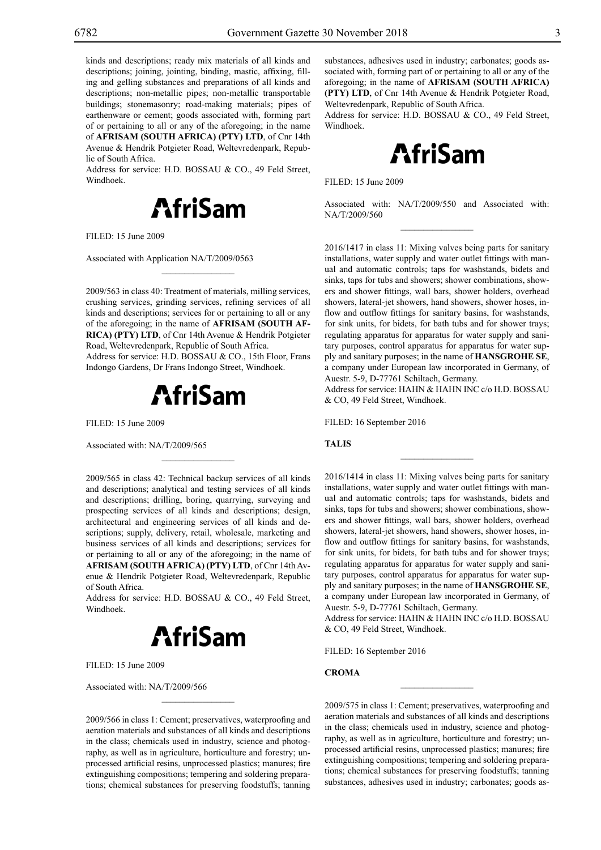kinds and descriptions; ready mix materials of all kinds and descriptions; joining, jointing, binding, mastic, affixing, filling and gelling substances and preparations of all kinds and descriptions; non-metallic pipes; non-metallic transportable buildings; stonemasonry; road-making materials; pipes of earthenware or cement; goods associated with, forming part of or pertaining to all or any of the aforegoing; in the name of **AFRISAM (SOUTH AFRICA) (PTY) LTD**, of Cnr 14th Avenue & Hendrik Potgieter Road, Weltevredenpark, Republic of South Africa.

Address for service: H.D. BOSSAU & CO., 49 Feld Street, Windhoek.



Filed: 15 June 2009

Associated with Application NA/T/2009/0563

2009/563 in class 40: Treatment of materials, milling services, crushing services, grinding services, refining services of all kinds and descriptions; services for or pertaining to all or any of the aforegoing; in the name of **AFRISAM (SOUTH AF-RICA) (PTY) LTD**, of Cnr 14th Avenue & Hendrik Potgieter Road, Weltevredenpark, Republic of South Africa.

 $\mathcal{L}=\mathcal{L}^{\mathcal{L}}$ 

Address for service: H.D. BOSSAU & CO., 15th Floor, Frans Indongo Gardens, Dr Frans Indongo Street, Windhoek.



 $\mathcal{L}=\mathcal{L}^{\mathcal{L}}$ 

Filed: 15 June 2009

Associated with: NA/T/2009/565

2009/565 in class 42: Technical backup services of all kinds and descriptions; analytical and testing services of all kinds and descriptions; drilling, boring, quarrying, surveying and prospecting services of all kinds and descriptions; design, architectural and engineering services of all kinds and descriptions; supply, delivery, retail, wholesale, marketing and business services of all kinds and descriptions; services for or pertaining to all or any of the aforegoing; in the name of **AFRISAM (SOUTH AFRICA) (PTY) LTD**, of Cnr 14th Avenue & Hendrik Potgieter Road, Weltevredenpark, Republic of South Africa.

Address for service: H.D. BOSSAU & CO., 49 Feld Street, Windhoek.



Filed: 15 June 2009

Associated with: NA/T/2009/566

2009/566 in class 1: Cement; preservatives, waterproofing and aeration materials and substances of all kinds and descriptions in the class; chemicals used in industry, science and photography, as well as in agriculture, horticulture and forestry; unprocessed artificial resins, unprocessed plastics; manures; fire extinguishing compositions; tempering and soldering preparations; chemical substances for preserving foodstuffs; tanning

 $\mathcal{L}=\mathcal{L}^{\mathcal{L}}$ 

substances, adhesives used in industry; carbonates; goods associated with, forming part of or pertaining to all or any of the aforegoing; in the name of **AFRISAM (SOUTH AFRICA) (PTY) LTD**, of Cnr 14th Avenue & Hendrik Potgieter Road, Weltevredenpark, Republic of South Africa.

Address for service: H.D. BOSSAU & CO., 49 Feld Street, Windhoek.



Filed: 15 June 2009

Associated with: NA/T/2009/550 and Associated with: NA/T/2009/560  $\overline{\phantom{a}}$  , we can also the set of  $\overline{\phantom{a}}$ 

2016/1417 in class 11: Mixing valves being parts for sanitary installations, water supply and water outlet fittings with manual and automatic controls; taps for washstands, bidets and sinks, taps for tubs and showers; shower combinations, showers and shower fittings, wall bars, shower holders, overhead showers, lateral-jet showers, hand showers, shower hoses, inflow and outflow fittings for sanitary basins, for washstands, for sink units, for bidets, for bath tubs and for shower trays; regulating apparatus for apparatus for water supply and sanitary purposes, control apparatus for apparatus for water supply and sanitary purposes; in the name of **HANSGROHE SE**, a company under European law incorporated in Germany, of Auestr. 5-9, D-77761 Schiltach, Germany.

Address for service: HAHN & HAHN INC c/o H.D. BOSSAU & Co, 49 Feld Street, Windhoek.

 $\overline{\phantom{a}}$  , we can also the set of  $\overline{\phantom{a}}$ 

FILED: 16 September 2016

#### **TALIS**

2016/1414 in class 11: Mixing valves being parts for sanitary installations, water supply and water outlet fittings with manual and automatic controls; taps for washstands, bidets and sinks, taps for tubs and showers; shower combinations, showers and shower fittings, wall bars, shower holders, overhead showers, lateral-jet showers, hand showers, shower hoses, inflow and outflow fittings for sanitary basins, for washstands, for sink units, for bidets, for bath tubs and for shower trays; regulating apparatus for apparatus for water supply and sanitary purposes, control apparatus for apparatus for water supply and sanitary purposes; in the name of **HANSGROHE SE**, a company under European law incorporated in Germany, of Auestr. 5-9, D-77761 Schiltach, Germany.

Address for service: HAHN & HAHN INC c/o H.D. BOSSAU & Co, 49 Feld Street, Windhoek.

FILED: 16 September 2016

#### **CROMA**

2009/575 in class 1: Cement; preservatives, waterproofing and aeration materials and substances of all kinds and descriptions in the class; chemicals used in industry, science and photography, as well as in agriculture, horticulture and forestry; unprocessed artificial resins, unprocessed plastics; manures; fire extinguishing compositions; tempering and soldering preparations; chemical substances for preserving foodstuffs; tanning substances, adhesives used in industry; carbonates; goods as-

 $\frac{1}{2}$